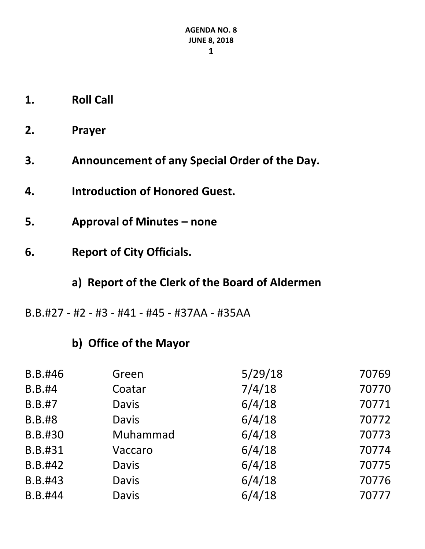- **1. Roll Call**
- **2. Prayer**
- **3. Announcement of any Special Order of the Day.**
- **4. Introduction of Honored Guest.**
- **5. Approval of Minutes – none**
- **6. Report of City Officials.**
	- **a) Report of the Clerk of the Board of Aldermen**
- B.B.#27 #2 #3 #41 #45 #37AA #35AA

## **b) Office of the Mayor**

| B.B.#46       | Green        | 5/29/18 | 70769 |
|---------------|--------------|---------|-------|
| <b>B.B.#4</b> | Coatar       | 7/4/18  | 70770 |
| <b>B.B.#7</b> | <b>Davis</b> | 6/4/18  | 70771 |
| <b>B.B.#8</b> | <b>Davis</b> | 6/4/18  | 70772 |
| B.B.#30       | Muhammad     | 6/4/18  | 70773 |
| B.B.#31       | Vaccaro      | 6/4/18  | 70774 |
| B.B.#42       | <b>Davis</b> | 6/4/18  | 70775 |
| B.B.#43       | <b>Davis</b> | 6/4/18  | 70776 |
| B.B.#44       | <b>Davis</b> | 6/4/18  | 70777 |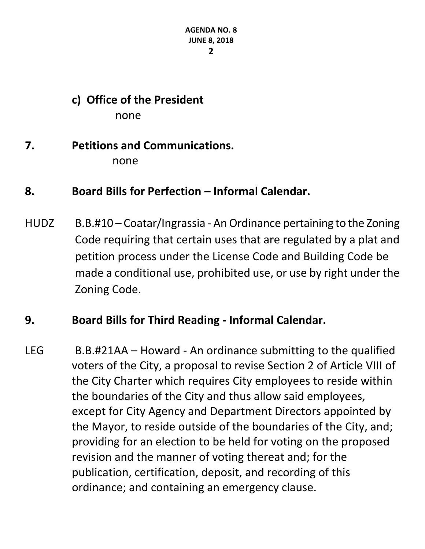## **c) Office of the President** none

### **7. Petitions and Communications.** none

## **8. Board Bills for Perfection – Informal Calendar.**

HUDZ B.B.#10 – Coatar/Ingrassia - An Ordinance pertaining to the Zoning Code requiring that certain uses that are regulated by a plat and petition process under the License Code and Building Code be made a conditional use, prohibited use, or use by right under the Zoning Code.

### **9. Board Bills for Third Reading - Informal Calendar.**

LEG B.B.#21AA – Howard - An ordinance submitting to the qualified voters of the City, a proposal to revise Section 2 of Article VIII of the City Charter which requires City employees to reside within the boundaries of the City and thus allow said employees, except for City Agency and Department Directors appointed by the Mayor, to reside outside of the boundaries of the City, and; providing for an election to be held for voting on the proposed revision and the manner of voting thereat and; for the publication, certification, deposit, and recording of this ordinance; and containing an emergency clause.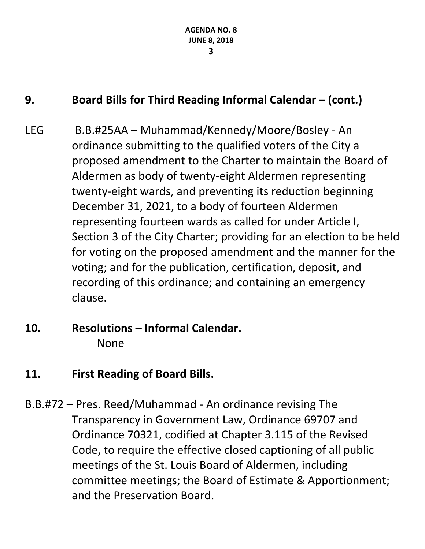# **9. Board Bills for Third Reading Informal Calendar – (cont.)**

- LEG B.B.#25AA Muhammad/Kennedy/Moore/Bosley An ordinance submitting to the qualified voters of the City a proposed amendment to the Charter to maintain the Board of Aldermen as body of twenty-eight Aldermen representing twenty-eight wards, and preventing its reduction beginning December 31, 2021, to a body of fourteen Aldermen representing fourteen wards as called for under Article I, Section 3 of the City Charter; providing for an election to be held for voting on the proposed amendment and the manner for the voting; and for the publication, certification, deposit, and recording of this ordinance; and containing an emergency clause.
- **10. Resolutions – Informal Calendar.** None
- **11. First Reading of Board Bills.**
- B.B.#72 Pres. Reed/Muhammad An ordinance revising The Transparency in Government Law, Ordinance 69707 and Ordinance 70321, codified at Chapter 3.115 of the Revised Code, to require the effective closed captioning of all public meetings of the St. Louis Board of Aldermen, including committee meetings; the Board of Estimate & Apportionment; and the Preservation Board.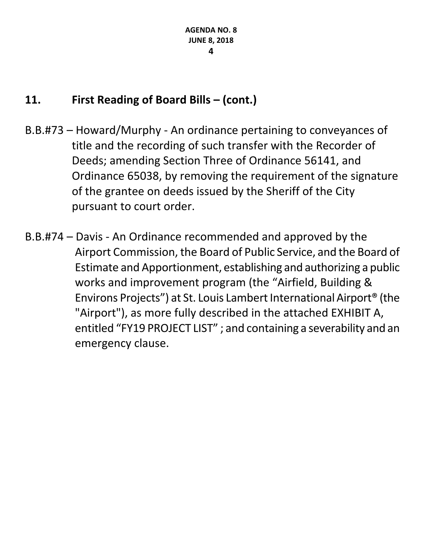- B.B.#73 Howard/Murphy An ordinance pertaining to conveyances of title and the recording of such transfer with the Recorder of Deeds; amending Section Three of Ordinance 56141, and Ordinance 65038, by removing the requirement of the signature of the grantee on deeds issued by the Sheriff of the City pursuant to court order.
- B.B.#74 Davis An Ordinance recommended and approved by the Airport Commission, the Board of Public Service, and the Board of Estimate and Apportionment, establishing and authorizing a public works and improvement program (the "Airfield, Building & Environs Projects") at St. Louis Lambert International Airport® (the "Airport"), as more fully described in the attached EXHIBIT A, entitled "FY19 PROJECT LIST" ; and containing a severability and an emergency clause.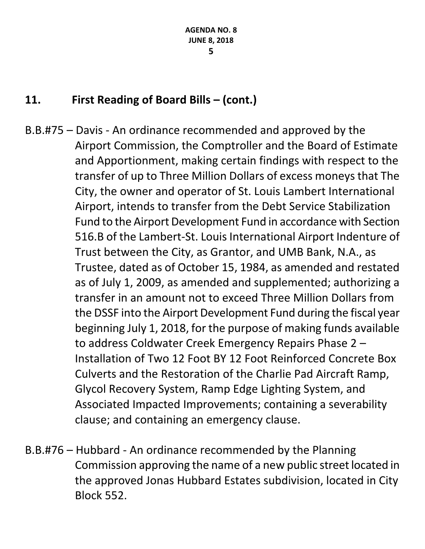- B.B.#75 Davis An ordinance recommended and approved by the Airport Commission, the Comptroller and the Board of Estimate and Apportionment, making certain findings with respect to the transfer of up to Three Million Dollars of excess moneys that The City, the owner and operator of St. Louis Lambert International Airport, intends to transfer from the Debt Service Stabilization Fund to the Airport Development Fund in accordance with Section 516.B of the Lambert-St. Louis International Airport Indenture of Trust between the City, as Grantor, and UMB Bank, N.A., as Trustee, dated as of October 15, 1984, as amended and restated as of July 1, 2009, as amended and supplemented; authorizing a transfer in an amount not to exceed Three Million Dollars from the DSSF into the Airport Development Fund during the fiscal year beginning July 1, 2018, for the purpose of making funds available to address Coldwater Creek Emergency Repairs Phase 2 – Installation of Two 12 Foot BY 12 Foot Reinforced Concrete Box Culverts and the Restoration of the Charlie Pad Aircraft Ramp, Glycol Recovery System, Ramp Edge Lighting System, and Associated Impacted Improvements; containing a severability clause; and containing an emergency clause.
- B.B.#76 Hubbard An ordinance recommended by the Planning Commission approving the name of a new public street located in the approved Jonas Hubbard Estates subdivision, located in City Block 552.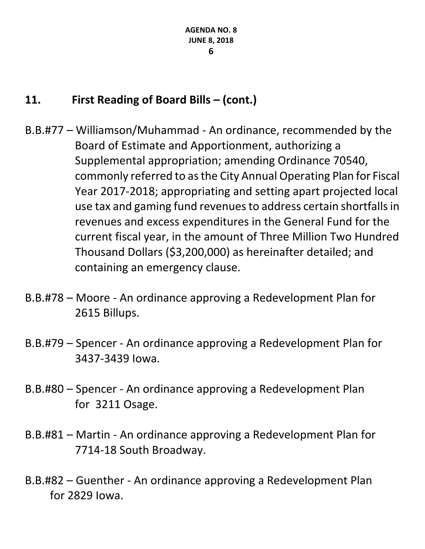- B.B.#77 Williamson/Muhammad An ordinance, recommended by the Board of Estimate and Apportionment, authorizing a Supplemental appropriation; amending Ordinance 70540, commonly referred to as the City Annual Operating Plan for Fiscal Year 2017-2018; appropriating and setting apart projected local use tax and gaming fund revenues to address certain shortfalls in revenues and excess expenditures in the General Fund for the current fiscal year, in the amount of Three Million Two Hundred Thousand Dollars (\$3,200,000) as hereinafter detailed; and containing an emergency clause.
- B.B.#78 Moore An ordinance approving a Redevelopment Plan for 2615 Billups.
- B.B.#79 Spencer An ordinance approving a Redevelopment Plan for 3437-3439 Iowa.
- B.B.#80 Spencer An ordinance approving a Redevelopment Plan for 3211 Osage.
- B.B.#81 Martin An ordinance approving a Redevelopment Plan for 7714-18 South Broadway.
- B.B.#82 Guenther An ordinance approving a Redevelopment Plan for 2829 Iowa.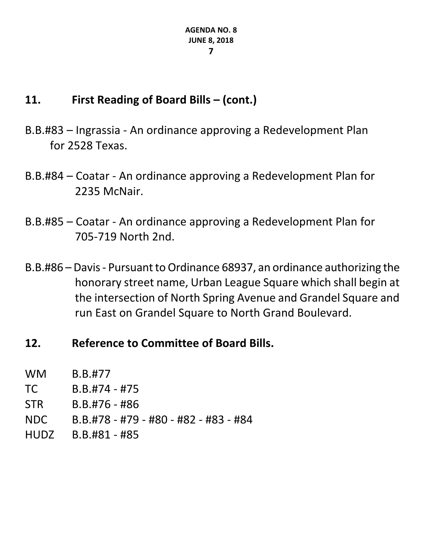- B.B.#83 Ingrassia An ordinance approving a Redevelopment Plan for 2528 Texas.
- B.B.#84 Coatar An ordinance approving a Redevelopment Plan for 2235 McNair.
- B.B.#85 Coatar An ordinance approving a Redevelopment Plan for 705-719 North 2nd.
- B.B.#86 Davis Pursuant to Ordinance 68937, an ordinance authorizing the honorary street name, Urban League Square which shall begin at the intersection of North Spring Avenue and Grandel Square and run East on Grandel Square to North Grand Boulevard.
- **12. Reference to Committee of Board Bills.**

| <b>WM</b>   | B.B.#77                               |
|-------------|---------------------------------------|
| TC.         | $B.B.#74 - #75$                       |
| <b>STR</b>  | $B.B.#76 - #86$                       |
| NDC         | B.B.#78 - #79 - #80 - #82 - #83 - #84 |
| <b>HUDZ</b> | $B.B.#81 - #85$                       |
|             |                                       |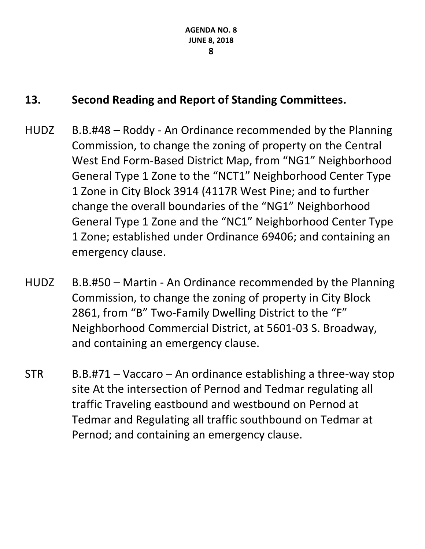# **13. Second Reading and Report of Standing Committees.**

- HUDZ B.B.#48 Roddy An Ordinance recommended by the Planning Commission, to change the zoning of property on the Central West End Form-Based District Map, from "NG1" Neighborhood General Type 1 Zone to the "NCT1" Neighborhood Center Type 1 Zone in City Block 3914 (4117R West Pine; and to further change the overall boundaries of the "NG1" Neighborhood General Type 1 Zone and the "NC1" Neighborhood Center Type 1 Zone; established under Ordinance 69406; and containing an emergency clause.
- HUDZ B.B.#50 Martin An Ordinance recommended by the Planning Commission, to change the zoning of property in City Block 2861, from "B" Two-Family Dwelling District to the "F" Neighborhood Commercial District, at 5601-03 S. Broadway, and containing an emergency clause.
- $STR$  B.B.#71 Vaccaro An ordinance establishing a three-way stop site At the intersection of Pernod and Tedmar regulating all traffic Traveling eastbound and westbound on Pernod at Tedmar and Regulating all traffic southbound on Tedmar at Pernod; and containing an emergency clause.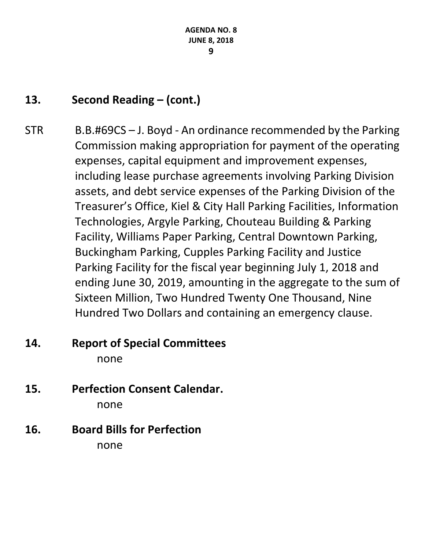# **13. Second Reading – (cont.)**

STR B.B.#69CS – J. Boyd - An ordinance recommended by the Parking Commission making appropriation for payment of the operating expenses, capital equipment and improvement expenses, including lease purchase agreements involving Parking Division assets, and debt service expenses of the Parking Division of the Treasurer's Office, Kiel & City Hall Parking Facilities, Information Technologies, Argyle Parking, Chouteau Building & Parking Facility, Williams Paper Parking, Central Downtown Parking, Buckingham Parking, Cupples Parking Facility and Justice Parking Facility for the fiscal year beginning July 1, 2018 and ending June 30, 2019, amounting in the aggregate to the sum of Sixteen Million, Two Hundred Twenty One Thousand, Nine Hundred Two Dollars and containing an emergency clause.

## **14. Report of Special Committees** none

- **15. Perfection Consent Calendar.** none
- **16. Board Bills for Perfection** none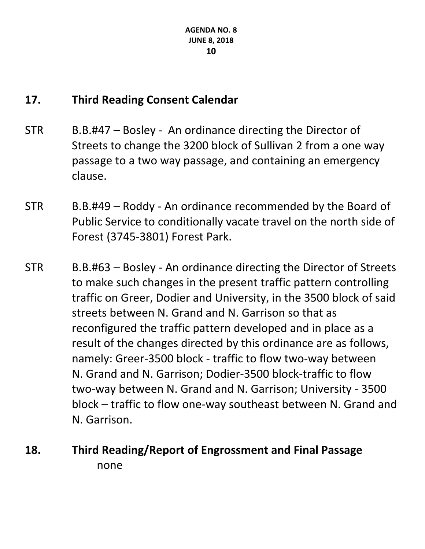## **17. Third Reading Consent Calendar**

- STR B.B.#47 Bosley An ordinance directing the Director of Streets to change the 3200 block of Sullivan 2 from a one way passage to a two way passage, and containing an emergency clause.
- STR B.B.#49 Roddy An ordinance recommended by the Board of Public Service to conditionally vacate travel on the north side of Forest (3745-3801) Forest Park.
- STR B.B.#63 Bosley An ordinance directing the Director of Streets to make such changes in the present traffic pattern controlling traffic on Greer, Dodier and University, in the 3500 block of said streets between N. Grand and N. Garrison so that as reconfigured the traffic pattern developed and in place as a result of the changes directed by this ordinance are as follows, namely: Greer-3500 block - traffic to flow two-way between N. Grand and N. Garrison; Dodier-3500 block-traffic to flow two-way between N. Grand and N. Garrison; University - 3500 block – traffic to flow one-way southeast between N. Grand and N. Garrison.
- **18. Third Reading/Report of Engrossment and Final Passage** none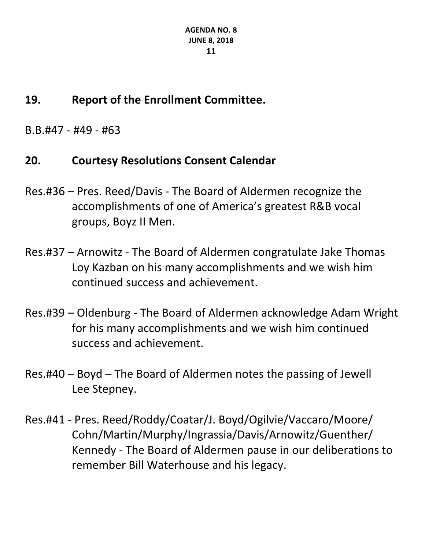# **19. Report of the Enrollment Committee.**

B.B.#47 - #49 - #63

# **20. Courtesy Resolutions Consent Calendar**

- Res.#36 Pres. Reed/Davis The Board of Aldermen recognize the accomplishments of one of America's greatest R&B vocal groups, Boyz II Men.
- Res.#37 Arnowitz The Board of Aldermen congratulate Jake Thomas Loy Kazban on his many accomplishments and we wish him continued success and achievement.
- Res.#39 Oldenburg The Board of Aldermen acknowledge Adam Wright for his many accomplishments and we wish him continued success and achievement.
- Res.#40 Boyd The Board of Aldermen notes the passing of Jewell Lee Stepney.
- Res.#41 Pres. Reed/Roddy/Coatar/J. Boyd/Ogilvie/Vaccaro/Moore/ Cohn/Martin/Murphy/Ingrassia/Davis/Arnowitz/Guenther/ Kennedy - The Board of Aldermen pause in our deliberations to remember Bill Waterhouse and his legacy.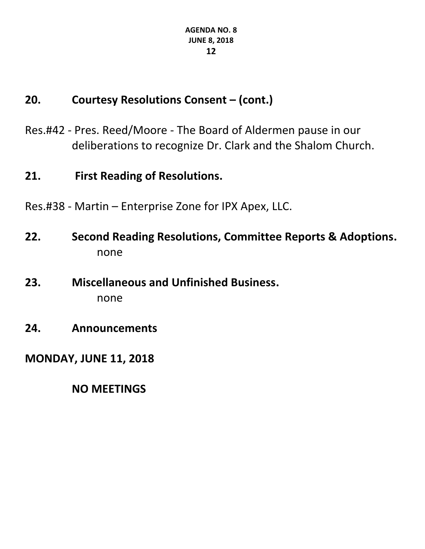# **20. Courtesy Resolutions Consent – (cont.)**

Res.#42 - Pres. Reed/Moore - The Board of Aldermen pause in our deliberations to recognize Dr. Clark and the Shalom Church.

### **21. First Reading of Resolutions.**

- Res.#38 Martin Enterprise Zone for IPX Apex, LLC.
- **22. Second Reading Resolutions, Committee Reports & Adoptions.** none
- **23. Miscellaneous and Unfinished Business.** none
- **24. Announcements**

# **MONDAY, JUNE 11, 2018**

**NO MEETINGS**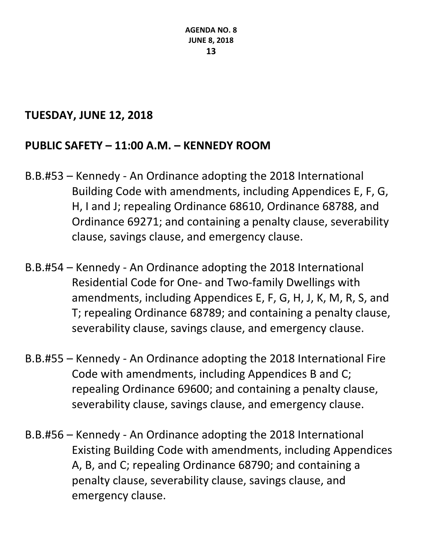### **TUESDAY, JUNE 12, 2018**

## **PUBLIC SAFETY – 11:00 A.M. – KENNEDY ROOM**

- B.B.#53 Kennedy An Ordinance adopting the 2018 International Building Code with amendments, including Appendices E, F, G, H, I and J; repealing Ordinance 68610, Ordinance 68788, and Ordinance 69271; and containing a penalty clause, severability clause, savings clause, and emergency clause.
- B.B.#54 Kennedy An Ordinance adopting the 2018 International Residential Code for One- and Two-family Dwellings with amendments, including Appendices E, F, G, H, J, K, M, R, S, and T; repealing Ordinance 68789; and containing a penalty clause, severability clause, savings clause, and emergency clause.
- B.B.#55 Kennedy An Ordinance adopting the 2018 International Fire Code with amendments, including Appendices B and C; repealing Ordinance 69600; and containing a penalty clause, severability clause, savings clause, and emergency clause.
- B.B.#56 Kennedy An Ordinance adopting the 2018 International Existing Building Code with amendments, including Appendices A, B, and C; repealing Ordinance 68790; and containing a penalty clause, severability clause, savings clause, and emergency clause.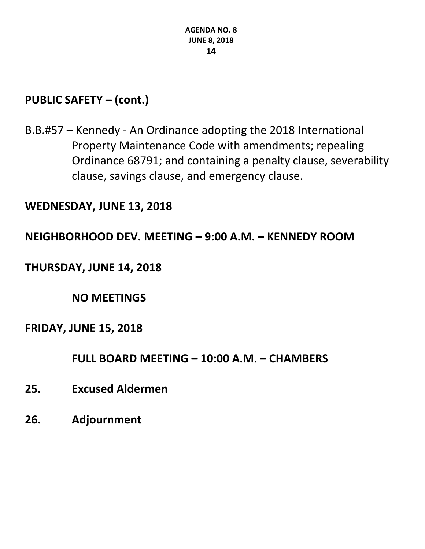# **PUBLIC SAFETY – (cont.)**

B.B.#57 – Kennedy - An Ordinance adopting the 2018 International Property Maintenance Code with amendments; repealing Ordinance 68791; and containing a penalty clause, severability clause, savings clause, and emergency clause.

#### **WEDNESDAY, JUNE 13, 2018**

#### **NEIGHBORHOOD DEV. MEETING – 9:00 A.M. – KENNEDY ROOM**

### **THURSDAY, JUNE 14, 2018**

**NO MEETINGS**

#### **FRIDAY, JUNE 15, 2018**

**FULL BOARD MEETING – 10:00 A.M. – CHAMBERS**

- **25. Excused Aldermen**
- **26. Adjournment**